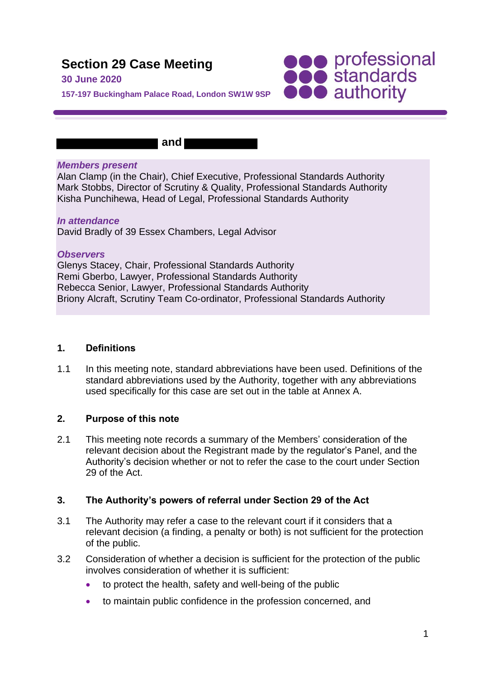# **Section 29 Case Meeting**

#### **30 June 2020**

**157-197 Buckingham Palace Road, London SW1W 9SP**

 **and** 

#### *Members present*

Alan Clamp (in the Chair), Chief Executive, Professional Standards Authority Mark Stobbs, Director of Scrutiny & Quality, Professional Standards Authority Kisha Punchihewa, Head of Legal, Professional Standards Authority

**SOO professional**<br> **SOO standards**<br> **OOO** authority

#### *In attendance*

David Bradly of 39 Essex Chambers, Legal Advisor

#### *Observers*

Glenys Stacey, Chair, Professional Standards Authority Remi Gberbo, Lawyer, Professional Standards Authority Rebecca Senior, Lawyer, Professional Standards Authority Briony Alcraft, Scrutiny Team Co-ordinator, Professional Standards Authority

#### **1. Definitions**

1.1 In this meeting note, standard abbreviations have been used. Definitions of the standard abbreviations used by the Authority, together with any abbreviations used specifically for this case are set out in the table at Annex A.

#### **2. Purpose of this note**

2.1 This meeting note records a summary of the Members' consideration of the relevant decision about the Registrant made by the regulator's Panel, and the Authority's decision whether or not to refer the case to the court under Section 29 of the Act.

#### **3. The Authority's powers of referral under Section 29 of the Act**

- 3.1 The Authority may refer a case to the relevant court if it considers that a relevant decision (a finding, a penalty or both) is not sufficient for the protection of the public.
- 3.2 Consideration of whether a decision is sufficient for the protection of the public involves consideration of whether it is sufficient:
	- to protect the health, safety and well-being of the public
	- to maintain public confidence in the profession concerned, and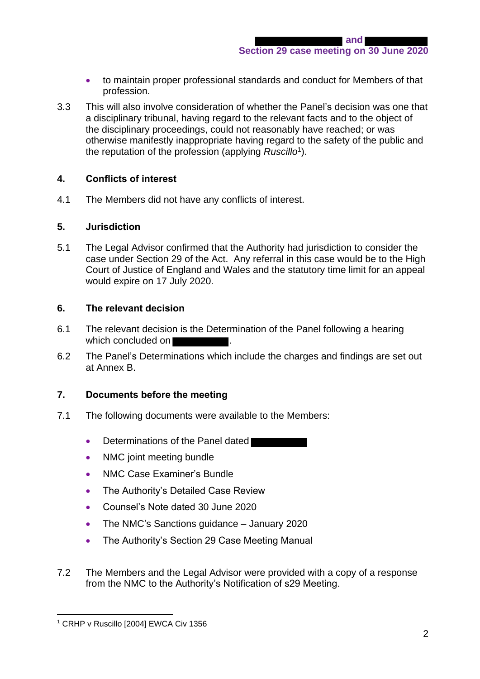- to maintain proper professional standards and conduct for Members of that profession.
- 3.3 This will also involve consideration of whether the Panel's decision was one that a disciplinary tribunal, having regard to the relevant facts and to the object of the disciplinary proceedings, could not reasonably have reached; or was otherwise manifestly inappropriate having regard to the safety of the public and the reputation of the profession (applying *Ruscillo*<sup>1</sup> ).

## **4. Conflicts of interest**

4.1 The Members did not have any conflicts of interest.

#### **5. Jurisdiction**

5.1 The Legal Advisor confirmed that the Authority had jurisdiction to consider the case under Section 29 of the Act. Any referral in this case would be to the High Court of Justice of England and Wales and the statutory time limit for an appeal would expire on 17 July 2020.

#### **6. The relevant decision**

- 6.1 The relevant decision is the Determination of the Panel following a hearing which concluded on **b**
- 6.2 The Panel's Determinations which include the charges and findings are set out at Annex B.

#### **7. Documents before the meeting**

- 7.1 The following documents were available to the Members:
	- Determinations of the Panel dated
	- NMC joint meeting bundle
	- NMC Case Examiner's Bundle
	- The Authority's Detailed Case Review
	- Counsel's Note dated 30 June 2020
	- The NMC's Sanctions guidance January 2020
	- The Authority's Section 29 Case Meeting Manual
- 7.2 The Members and the Legal Advisor were provided with a copy of a response from the NMC to the Authority's Notification of s29 Meeting.

<sup>&</sup>lt;sup>1</sup> CRHP v Ruscillo [2004] EWCA Civ 1356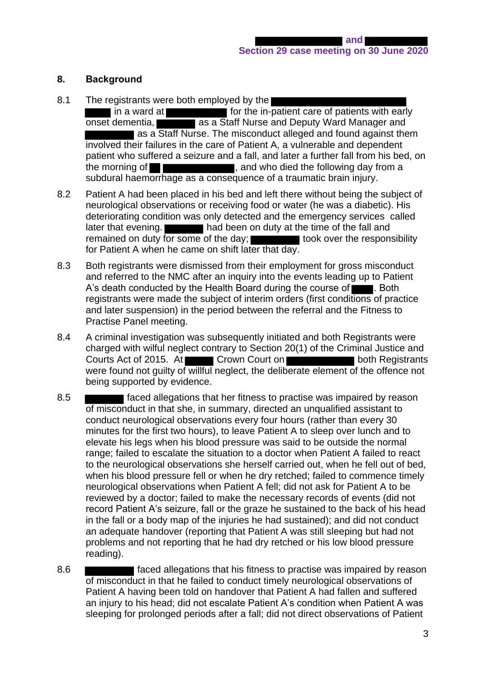#### **8. Background**

- 8.1 The registrants were both employed by the I in a ward at **Formar and in-patient care of patients with early** onset dementia, **as a Staff Nurse and Deputy Ward Manager and** as a Staff Nurse. The misconduct alleged and found against them involved their failures in the care of Patient A, a vulnerable and dependent patient who suffered a seizure and a fall, and later a further fall from his bed, on the morning of  $\blacksquare$ subdural haemorrhage as a consequence of a traumatic brain injury.
- 8.2 Patient A had been placed in his bed and left there without being the subject of neurological observations or receiving food or water (he was a diabetic). His deteriorating condition was only detected and the emergency services called later that evening. **He same is a large state of the fall and** had been on duty at the time of the fall and remained on duty for some of the day; took over the responsibility for Patient A when he came on shift later that day.
- 8.3 Both registrants were dismissed from their employment for gross misconduct and referred to the NMC after an inquiry into the events leading up to Patient A's death conducted by the Health Board during the course of  $\blacksquare$ . Both registrants were made the subject of interim orders (first conditions of practice and later suspension) in the period between the referral and the Fitness to Practise Panel meeting.
- 8.4 A criminal investigation was subsequently initiated and both Registrants were charged with wilful neglect contrary to Section 20(1) of the Criminal Justice and Courts Act of 2015. At Crown Court on **Crown Court on** both Registrants were found not guilty of willful neglect, the deliberate element of the offence not being supported by evidence.
- 8.5 **Faced allegations that her fitness to practise was impaired by reason** of misconduct in that she, in summary, directed an unqualified assistant to conduct neurological observations every four hours (rather than every 30 minutes for the first two hours), to leave Patient A to sleep over lunch and to elevate his legs when his blood pressure was said to be outside the normal range; failed to escalate the situation to a doctor when Patient A failed to react to the neurological observations she herself carried out, when he fell out of bed, when his blood pressure fell or when he dry retched; failed to commence timely neurological observations when Patient A fell; did not ask for Patient A to be reviewed by a doctor; failed to make the necessary records of events (did not record Patient A's seizure, fall or the graze he sustained to the back of his head in the fall or a body map of the injuries he had sustained); and did not conduct an adequate handover (reporting that Patient A was still sleeping but had not problems and not reporting that he had dry retched or his low blood pressure reading).
- 8.6 **Faced allegations that his fitness to practise was impaired by reason** of misconduct in that he failed to conduct timely neurological observations of Patient A having been told on handover that Patient A had fallen and suffered an injury to his head; did not escalate Patient A's condition when Patient A was sleeping for prolonged periods after a fall; did not direct observations of Patient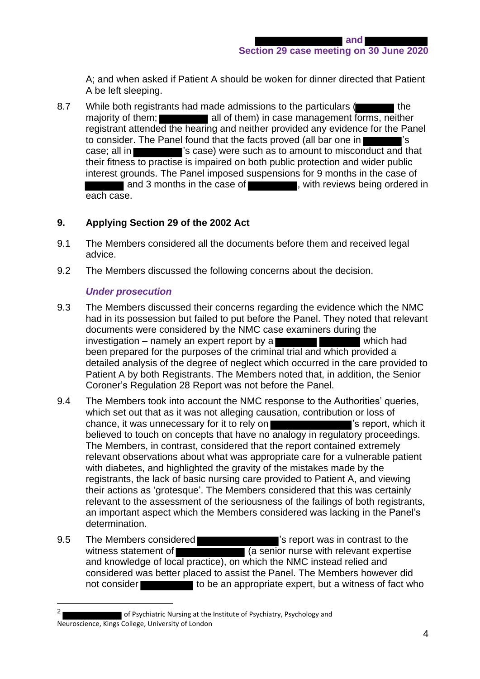A; and when asked if Patient A should be woken for dinner directed that Patient A be left sleeping.

8.7 While both registrants had made admissions to the particulars ( majority of them; all of them) in case management forms, neither registrant attended the hearing and neither provided any evidence for the Panel to consider. The Panel found that the facts proved (all bar one in case; all in **Figure 3. 2008** 's case) were such as to amount to misconduct and that their fitness to practise is impaired on both public protection and wider public interest grounds. The Panel imposed suspensions for 9 months in the case of and 3 months in the case of  $\blacksquare$ , with reviews being ordered in each case.

# **9. Applying Section 29 of the 2002 Act**

- 9.1 The Members considered all the documents before them and received legal advice.
- 9.2 The Members discussed the following concerns about the decision.

# *Under prosecution*

- 9.3 The Members discussed their concerns regarding the evidence which the NMC had in its possession but failed to put before the Panel. They noted that relevant documents were considered by the NMC case examiners during the investigation – namely an expert report by a  $\blacksquare$  which had been prepared for the purposes of the criminal trial and which provided a detailed analysis of the degree of neglect which occurred in the care provided to Patient A by both Registrants. The Members noted that, in addition, the Senior Coroner's Regulation 28 Report was not before the Panel.
- 9.4 The Members took into account the NMC response to the Authorities' queries, which set out that as it was not alleging causation, contribution or loss of chance, it was unnecessary for it to rely on  $\blacksquare$  is report, which it believed to touch on concepts that have no analogy in regulatory proceedings. The Members, in contrast, considered that the report contained extremely relevant observations about what was appropriate care for a vulnerable patient with diabetes, and highlighted the gravity of the mistakes made by the registrants, the lack of basic nursing care provided to Patient A, and viewing their actions as 'grotesque'. The Members considered that this was certainly relevant to the assessment of the seriousness of the failings of both registrants, an important aspect which the Members considered was lacking in the Panel's determination.
- 9.5 The Members considered **The State of the State of The Members considered The State of the State of the State of the State of Theorem 3.5 The Members considered The State of the State of the State of the State of the St** witness statement of **EXECUTE:** (a senior nurse with relevant expertise and knowledge of local practice), on which the NMC instead relied and considered was better placed to assist the Panel. The Members however did not consider to be an appropriate expert, but a witness of fact who

<sup>2</sup> of Psychiatric Nursing at the Institute of Psychiatry, Psychology and Neuroscience, Kings College, University of London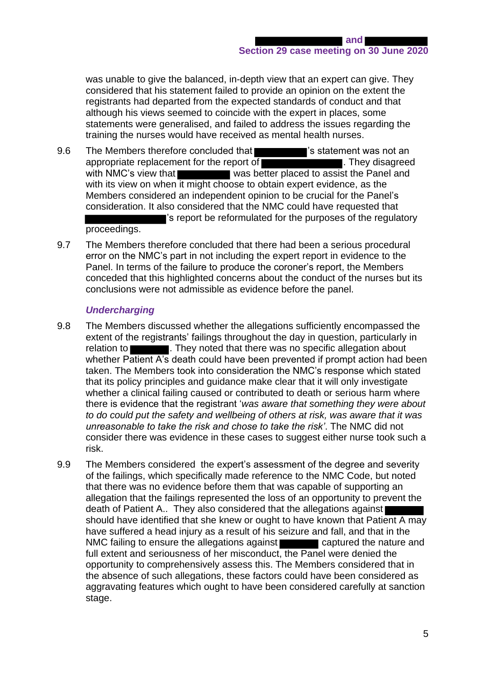was unable to give the balanced, in-depth view that an expert can give. They considered that his statement failed to provide an opinion on the extent the registrants had departed from the expected standards of conduct and that although his views seemed to coincide with the expert in places, some statements were generalised, and failed to address the issues regarding the training the nurses would have received as mental health nurses.

- 9.6 The Members therefore concluded that **The Statement was not an**  $\overline{\phantom{a}}$  is statement was not an appropriate replacement for the report of **EXACTER 1999**. They disagreed with NMC's view that was better placed to assist the Panel and with its view on when it might choose to obtain expert evidence, as the Members considered an independent opinion to be crucial for the Panel's consideration. It also considered that the NMC could have requested that 's report be reformulated for the purposes of the regulatory proceedings.
- 9.7 The Members therefore concluded that there had been a serious procedural error on the NMC's part in not including the expert report in evidence to the Panel. In terms of the failure to produce the coroner's report, the Members conceded that this highlighted concerns about the conduct of the nurses but its conclusions were not admissible as evidence before the panel.

## *Undercharging*

- 9.8 The Members discussed whether the allegations sufficiently encompassed the extent of the registrants' failings throughout the day in question, particularly in relation to **. They noted that there was no specific allegation about** whether Patient A's death could have been prevented if prompt action had been taken. The Members took into consideration the NMC's response which stated that its policy principles and guidance make clear that it will only investigate whether a clinical failing caused or contributed to death or serious harm where there is evidence that the registrant '*was aware that something they were about to do could put the safety and wellbeing of others at risk, was aware that it was unreasonable to take the risk and chose to take the risk'*. The NMC did not consider there was evidence in these cases to suggest either nurse took such a risk.
- 9.9 The Members considered the expert's assessment of the degree and severity of the failings, which specifically made reference to the NMC Code, but noted that there was no evidence before them that was capable of supporting an allegation that the failings represented the loss of an opportunity to prevent the death of Patient A.. They also considered that the allegations against should have identified that she knew or ought to have known that Patient A may have suffered a head injury as a result of his seizure and fall, and that in the NMC failing to ensure the allegations against captured the nature and full extent and seriousness of her misconduct, the Panel were denied the opportunity to comprehensively assess this. The Members considered that in the absence of such allegations, these factors could have been considered as aggravating features which ought to have been considered carefully at sanction stage.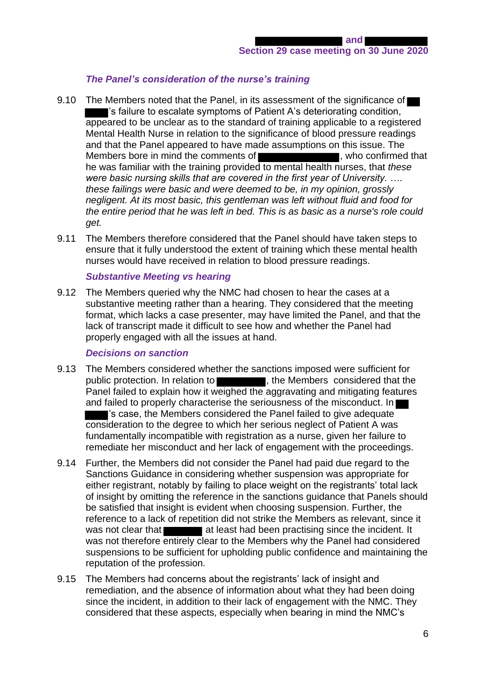# *The Panel's consideration of the nurse's training*

- 9.10 The Members noted that the Panel, in its assessment of the significance of 's failure to escalate symptoms of Patient A's deteriorating condition, appeared to be unclear as to the standard of training applicable to a registered Mental Health Nurse in relation to the significance of blood pressure readings and that the Panel appeared to have made assumptions on this issue. The Members bore in mind the comments of **National Contract Confirmed that** he was familiar with the training provided to mental health nurses, that *these were basic nursing skills that are covered in the first year of University. …*. *these failings were basic and were deemed to be, in my opinion, grossly negligent. At its most basic, this gentleman was left without fluid and food for the entire period that he was left in bed. This is as basic as a nurse's role could get.*
- 9.11 The Members therefore considered that the Panel should have taken steps to ensure that it fully understood the extent of training which these mental health nurses would have received in relation to blood pressure readings.

#### *Substantive Meeting vs hearing*

9.12 The Members queried why the NMC had chosen to hear the cases at a substantive meeting rather than a hearing. They considered that the meeting format, which lacks a case presenter, may have limited the Panel, and that the lack of transcript made it difficult to see how and whether the Panel had properly engaged with all the issues at hand.

#### *Decisions on sanction*

- 9.13 The Members considered whether the sanctions imposed were sufficient for public protection. In relation to , the Members considered that the Panel failed to explain how it weighed the aggravating and mitigating features and failed to properly characterise the seriousness of the misconduct. In 's case, the Members considered the Panel failed to give adequate consideration to the degree to which her serious neglect of Patient A was fundamentally incompatible with registration as a nurse, given her failure to remediate her misconduct and her lack of engagement with the proceedings.
- 9.14 Further, the Members did not consider the Panel had paid due regard to the Sanctions Guidance in considering whether suspension was appropriate for either registrant, notably by failing to place weight on the registrants' total lack of insight by omitting the reference in the sanctions guidance that Panels should be satisfied that insight is evident when choosing suspension. Further, the reference to a lack of repetition did not strike the Members as relevant, since it was not clear that **at least had been practising since the incident.** It was not therefore entirely clear to the Members why the Panel had considered suspensions to be sufficient for upholding public confidence and maintaining the reputation of the profession.
- 9.15 The Members had concerns about the registrants' lack of insight and remediation, and the absence of information about what they had been doing since the incident, in addition to their lack of engagement with the NMC. They considered that these aspects, especially when bearing in mind the NMC's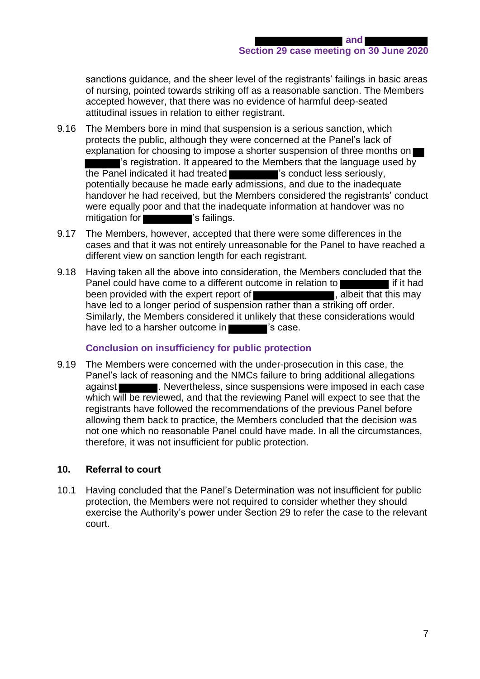sanctions guidance, and the sheer level of the registrants' failings in basic areas of nursing, pointed towards striking off as a reasonable sanction. The Members accepted however, that there was no evidence of harmful deep-seated attitudinal issues in relation to either registrant.

- 9.16 The Members bore in mind that suspension is a serious sanction, which protects the public, although they were concerned at the Panel's lack of explanation for choosing to impose a shorter suspension of three months on 's registration. It appeared to the Members that the language used by the Panel indicated it had treated 's conduct less seriously, potentially because he made early admissions, and due to the inadequate handover he had received, but the Members considered the registrants' conduct were equally poor and that the inadequate information at handover was no mitigation for **Yester Strain**'s failings.
- 9.17 The Members, however, accepted that there were some differences in the cases and that it was not entirely unreasonable for the Panel to have reached a different view on sanction length for each registrant.
- 9.18 Having taken all the above into consideration, the Members concluded that the Panel could have come to a different outcome in relation to **in the same is a set of the set of the Panel** if it had been provided with the expert report of **the set of the set of the set of the set of the set of the set of the set of the set of the set of the set of the set of the set of the set of the set of the set of the set of the s** have led to a longer period of suspension rather than a striking off order. Similarly, the Members considered it unlikely that these considerations would have led to a harsher outcome in  $\blacksquare$  's case.

# **Conclusion on insufficiency for public protection**

9.19 The Members were concerned with the under-prosecution in this case, the Panel's lack of reasoning and the NMCs failure to bring additional allegations against **. Nevertheless, since suspensions were imposed in each case** which will be reviewed, and that the reviewing Panel will expect to see that the registrants have followed the recommendations of the previous Panel before allowing them back to practice, the Members concluded that the decision was not one which no reasonable Panel could have made. In all the circumstances, therefore, it was not insufficient for public protection.

#### **10. Referral to court**

10.1 Having concluded that the Panel's Determination was not insufficient for public protection, the Members were not required to consider whether they should exercise the Authority's power under Section 29 to refer the case to the relevant court.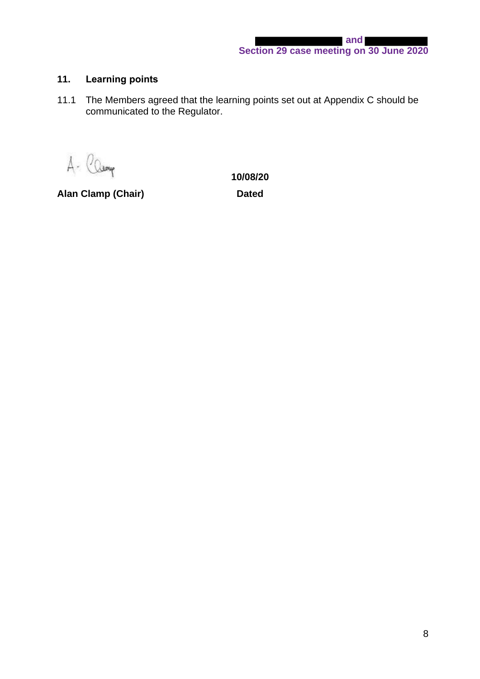# **11. Learning points**

11.1 The Members agreed that the learning points set out at Appendix C should be communicated to the Regulator.

A- Camp

Alan Clamp (Chair) **Dated** 

**10/08/20**